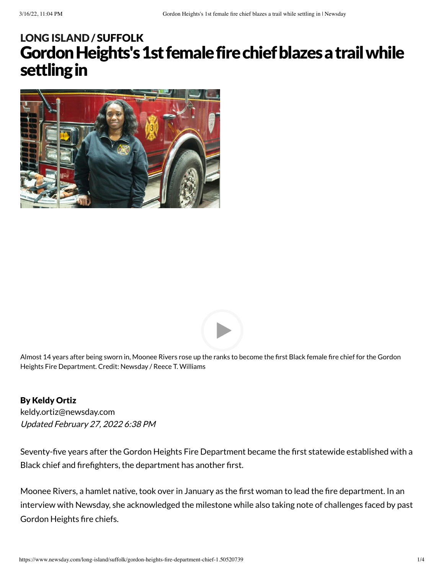# Gordon Heights's 1st female fire chief blazes a trail while settling in LONG [ISLAND](https://www.newsday.com/long-island) / [SUFFOLK](https://www.newsday.com/long-island/suffolk)





Almost 14 years after being sworn in, Moonee Rivers rose up the ranks to become the first Black female fire chief for the Gordon Heights Fire Department. Credit: Newsday / Reece T. Williams

#### By Keldy Ortiz

Updated February 27, 2022 6:38 PM [keldy.ortiz@newsday.com](mailto:keldy.ortiz@newsday.com?subject=Gordon%20Heights%27s%201st%20female%20fire%20chief%20blazes%C2%A0a%20trail%20while%20settling%20in&body=Seventy-five%20years%20after%20the%20Gordon%20Heights%20Fire%20Department%20became%20the%20first%20statewide%20established%20with%20a%20Black%20chief%20and%20firefighters,%20the%20department%20has%20another%20first.%20Moonee%20Rivers,%20a%20hamlet%20native%0D%0Ahttps://www.newsday.com/long-island/suffolk/gordon-heights-fire-department-chief-1.50520739)

Seventy-five years after the Gordon Heights Fire Department became the first statewide established with a Black chief and firefighters, the department has another first.

Moonee Rivers, a hamlet native, took over in January as the first woman to lead the fire department. In an interview with Newsday, she acknowledged the milestone while also taking note of challenges faced by past Gordon Heights fire chiefs.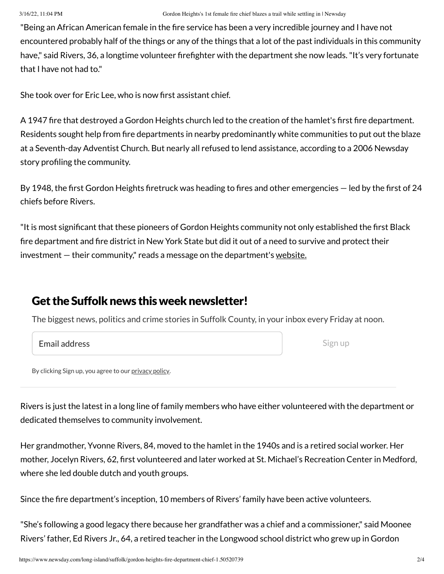"Being an African American female in the fire service has been a very incredible journey and I have not encountered probably half of the things or any of the things that a lot of the past individuals in this community have," said Rivers, 36, a longtime volunteer firefighter with the department she now leads. "It's very fortunate that I have not had to."

She took over for Eric Lee, who is now first assistant chief.

A 1947 fire that destroyed a Gordon Heights church led to the creation of the hamlet's first fire department. Residents sought help from fire departments in nearby predominantly white communities to put out the blaze at a Seventh-day Adventist Church. But nearly all refused to lend assistance, according to a 2006 Newsday story profiling the community.

By 1948, the first Gordon Heights firetruck was heading to fires and other emergencies — led by the first of 24 chiefs before Rivers.

"It is most significant that these pioneers of Gordon Heights community not only established the first Black fire department and fire district in New York State but did it out of a need to survive and protect their investment – their community," reads a message on the department's [website.](http://www.gordonheightsfiredept.org/history.php)

### Get the Suffolk news this week newsletter!

The biggest news, politics and crime stories in Suffolk County, in your inbox every Friday at noon.

| <b>Email address</b> |
|----------------------|
|                      |

Sign up

By clicking Sign up, you agree to our [privacy](https://www.newsday.com/privacy) policy.

Rivers is just the latest in a long line of family members who have either volunteered with the department or dedicated themselves to community involvement.

Her grandmother, Yvonne Rivers, 84, moved to the hamlet in the 1940s and is a retired social worker. Her mother, Jocelyn Rivers, 62, first volunteered and later worked at St. Michael's Recreation Center in Medford, where she led double dutch and youth groups.

Since the fire department's inception, 10 members of Rivers' family have been active volunteers.

"She's following a good legacy there because her grandfather was a chief and a commissioner," said Moonee Rivers' father, Ed Rivers Jr., 64, a retired teacher in the Longwood school district who grew up in Gordon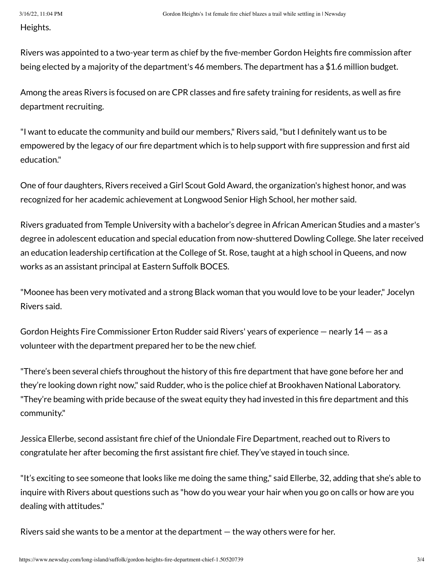Heights.

Rivers was appointed to a two-year term as chief by the five-member Gordon Heights fire commission after being elected by a majority of the department's 46 members. The department has a \$1.6 million budget.

Among the areas Rivers is focused on are CPR classes and fire safety training for residents, as well as fire department recruiting.

"I want to educate the community and build our members," Rivers said,"but I definitely want us to be empowered by the legacy of our fire department which is to help support with fire suppression and first aid education."

One of four daughters, Rivers received a Girl Scout Gold Award, the organization's highest honor, and was recognized for her academic achievement at Longwood Senior High School, her mother said.

Rivers graduated from Temple University with a bachelor's degree in African American Studies and a master's degree in adolescent education and special education from now-shuttered Dowling College. She later received an education leadership certification at the College of St. Rose, taught at a high school in Queens, and now works as an assistant principal at Eastern Suffolk BOCES.

"Moonee has been very motivated and a strong Black woman that you would love to be your leader," Jocelyn Rivers said.

Gordon Heights Fire Commissioner Erton Rudder said Rivers' years of experience — nearly 14 — as a volunteer with the department prepared her to be the new chief.

"There's been several chiefs throughout the history of this fire department that have gone before her and they're looking down right now," said Rudder, who is the police chief at Brookhaven National Laboratory. "They're beaming with pride because of the sweat equity they had invested in this fire department and this community."

Jessica Ellerbe, second assistant fire chief of the Uniondale Fire Department, reached out to Rivers to congratulate her after becoming the first assistant fire chief. They've stayed in touch since.

"It's exciting to see someone that looks like me doing the same thing," said Ellerbe, 32, adding that she's able to inquire with Rivers about questions such as "how do you wear your hair when you go on calls or how are you dealing with attitudes."

Rivers said she wants to be a mentor at the department — the way others were for her.